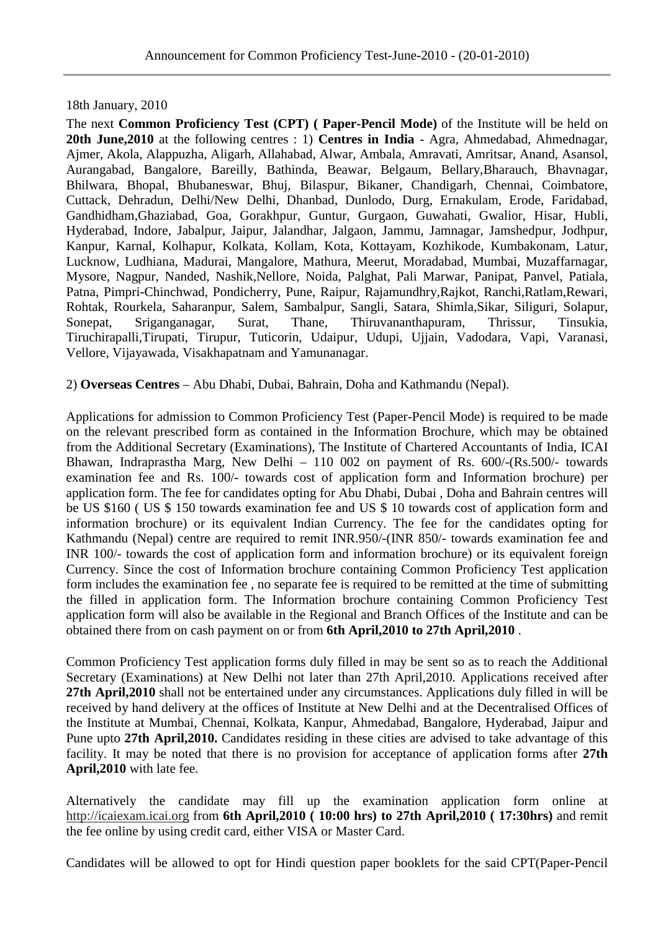## 18th January, 2010

The next **Common Proficiency Test (CPT) ( Paper-Pencil Mode)** of the Institute will be held on **20th June,2010** at the following centres : 1) **Centres in India** - Agra, Ahmedabad, Ahmednagar, Ajmer, Akola, Alappuzha, Aligarh, Allahabad, Alwar, Ambala, Amravati, Amritsar, Anand, Asansol, Aurangabad, Bangalore, Bareilly, Bathinda, Beawar, Belgaum, Bellary,Bharauch, Bhavnagar, Bhilwara, Bhopal, Bhubaneswar, Bhuj, Bilaspur, Bikaner, Chandigarh, Chennai, Coimbatore, Cuttack, Dehradun, Delhi/New Delhi, Dhanbad, Dunlodo, Durg, Ernakulam, Erode, Faridabad, Gandhidham,Ghaziabad, Goa, Gorakhpur, Guntur, Gurgaon, Guwahati, Gwalior, Hisar, Hubli, Hyderabad, Indore, Jabalpur, Jaipur, Jalandhar, Jalgaon, Jammu, Jamnagar, Jamshedpur, Jodhpur, Kanpur, Karnal, Kolhapur, Kolkata, Kollam, Kota, Kottayam, Kozhikode, Kumbakonam, Latur, Lucknow, Ludhiana, Madurai, Mangalore, Mathura, Meerut, Moradabad, Mumbai, Muzaffarnagar, Mysore, Nagpur, Nanded, Nashik,Nellore, Noida, Palghat, Pali Marwar, Panipat, Panvel, Patiala, Patna, Pimpri-Chinchwad, Pondicherry, Pune, Raipur, Rajamundhry,Rajkot, Ranchi,Ratlam,Rewari, Rohtak, Rourkela, Saharanpur, Salem, Sambalpur, Sangli, Satara, Shimla,Sikar, Siliguri, Solapur, Sonepat, Sriganganagar, Surat, Thane, Thiruvananthapuram, Thrissur, Tinsukia, Tiruchirapalli,Tirupati, Tirupur, Tuticorin, Udaipur, Udupi, Ujjain, Vadodara, Vapi, Varanasi, Vellore, Vijayawada, Visakhapatnam and Yamunanagar.

2) **Overseas Centres** – Abu Dhabi, Dubai, Bahrain, Doha and Kathmandu (Nepal).

Applications for admission to Common Proficiency Test (Paper-Pencil Mode) is required to be made on the relevant prescribed form as contained in the Information Brochure, which may be obtained from the Additional Secretary (Examinations), The Institute of Chartered Accountants of India, ICAI Bhawan, Indraprastha Marg, New Delhi – 110 002 on payment of Rs. 600/-(Rs.500/- towards examination fee and Rs. 100/- towards cost of application form and Information brochure) per application form. The fee for candidates opting for Abu Dhabi, Dubai , Doha and Bahrain centres will be US \$160 ( US \$ 150 towards examination fee and US \$ 10 towards cost of application form and information brochure) or its equivalent Indian Currency. The fee for the candidates opting for Kathmandu (Nepal) centre are required to remit INR.950/-(INR 850/- towards examination fee and INR 100/- towards the cost of application form and information brochure) or its equivalent foreign Currency. Since the cost of Information brochure containing Common Proficiency Test application form includes the examination fee , no separate fee is required to be remitted at the time of submitting the filled in application form. The Information brochure containing Common Proficiency Test application form will also be available in the Regional and Branch Offices of the Institute and can be obtained there from on cash payment on or from **6th April,2010 to 27th April,2010** .

Common Proficiency Test application forms duly filled in may be sent so as to reach the Additional Secretary (Examinations) at New Delhi not later than 27th April,2010. Applications received after **27th April,2010** shall not be entertained under any circumstances. Applications duly filled in will be received by hand delivery at the offices of Institute at New Delhi and at the Decentralised Offices of the Institute at Mumbai, Chennai, Kolkata, Kanpur, Ahmedabad, Bangalore, Hyderabad, Jaipur and Pune upto **27th April,2010.** Candidates residing in these cities are advised to take advantage of this facility. It may be noted that there is no provision for acceptance of application forms after **27th April,2010** with late fee.

Alternatively the candidate may fill up the examination application form online at http://icaiexam.icai.org from **6th April,2010 ( 10:00 hrs) to 27th April,2010 ( 17:30hrs)** and remit the fee online by using credit card, either VISA or Master Card.

Candidates will be allowed to opt for Hindi question paper booklets for the said CPT(Paper-Pencil